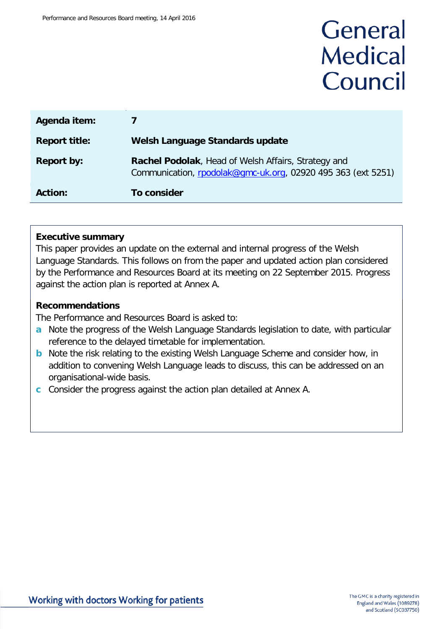# General **Medical** Council

| Agenda item:         | 7                                                                                                                   |
|----------------------|---------------------------------------------------------------------------------------------------------------------|
| <b>Report title:</b> | Welsh Language Standards update                                                                                     |
| <b>Report by:</b>    | Rachel Podolak, Head of Welsh Affairs, Strategy and<br>Communication, rpodolak@gmc-uk.org, 02920 495 363 (ext 5251) |
| <b>Action:</b>       | To consider                                                                                                         |

#### **Executive summary**

This paper provides an update on the external and internal progress of the Welsh Language Standards. This follows on from the paper and updated action plan considered by the Performance and Resources Board at its meeting on 22 September 2015. Progress against the action plan is reported at Annex A.

#### **Recommendations**

The Performance and Resources Board is asked to:

- **a** Note the progress of the Welsh Language Standards legislation to date, with particular reference to the delayed timetable for implementation.
- **b** Note the risk relating to the existing Welsh Language Scheme and consider how, in addition to convening Welsh Language leads to discuss, this can be addressed on an organisational-wide basis.
- **c** Consider the progress against the action plan detailed at Annex A.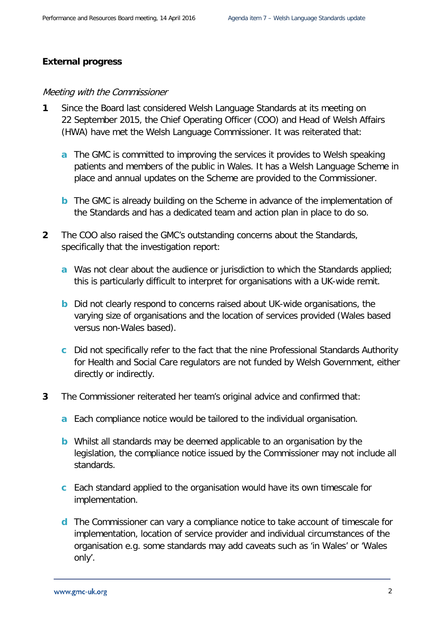#### **External progress**

#### Meeting with the Commissioner

- **1** Since the Board last considered Welsh Language Standards at its meeting on 22 September 2015, the Chief Operating Officer (COO) and Head of Welsh Affairs (HWA) have met the Welsh Language Commissioner. It was reiterated that:
	- **a** The GMC is committed to improving the services it provides to Welsh speaking patients and members of the public in Wales. It has a Welsh Language Scheme in place and annual updates on the Scheme are provided to the Commissioner.
	- **b** The GMC is already building on the Scheme in advance of the implementation of the Standards and has a dedicated team and action plan in place to do so.
- **2** The COO also raised the GMC's outstanding concerns about the Standards, specifically that the investigation report:
	- **a** Was not clear about the audience or jurisdiction to which the Standards applied; this is particularly difficult to interpret for organisations with a UK-wide remit.
	- **b** Did not clearly respond to concerns raised about UK-wide organisations, the varying size of organisations and the location of services provided (Wales based versus non-Wales based).
	- **c** Did not specifically refer to the fact that the nine Professional Standards Authority for Health and Social Care regulators are not funded by Welsh Government, either directly or indirectly.
- **3** The Commissioner reiterated her team's original advice and confirmed that:
	- **a** Each compliance notice would be tailored to the individual organisation.
	- **b** Whilst all standards may be deemed applicable to an organisation by the legislation, the compliance notice issued by the Commissioner may not include all standards.
	- **c** Each standard applied to the organisation would have its own timescale for implementation.
	- **d** The Commissioner can vary a compliance notice to take account of timescale for implementation, location of service provider and individual circumstances of the organisation e.g. some standards may add caveats such as 'in Wales' or 'Wales only'.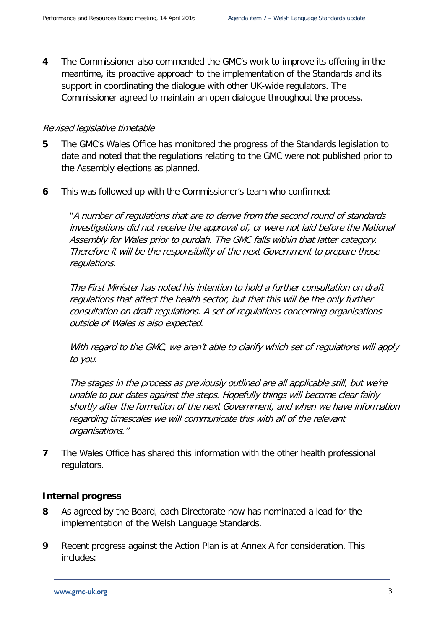**4** The Commissioner also commended the GMC's work to improve its offering in the meantime, its proactive approach to the implementation of the Standards and its support in coordinating the dialogue with other UK-wide regulators. The Commissioner agreed to maintain an open dialogue throughout the process.

#### Revised legislative timetable

- **5** The GMC's Wales Office has monitored the progress of the Standards legislation to date and noted that the regulations relating to the GMC were not published prior to the Assembly elections as planned.
- **6** This was followed up with the Commissioner's team who confirmed:

"A number of regulations that are to derive from the second round of standards investigations did not receive the approval of, or were not laid before the National Assembly for Wales prior to purdah. The GMC falls within that latter category. Therefore it will be the responsibility of the next Government to prepare those regulations.

The First Minister has noted his intention to hold a further consultation on draft regulations that affect the health sector, but that this will be the only further consultation on draft regulations. A set of regulations concerning organisations outside of Wales is also expected.

With regard to the GMC, we aren't able to clarify which set of regulations will apply to you.

The stages in the process as previously outlined are all applicable still, but we're unable to put dates against the steps. Hopefully things will become clear fairly shortly after the formation of the next Government, and when we have information regarding timescales we will communicate this with all of the relevant organisations."

**7** The Wales Office has shared this information with the other health professional regulators.

#### **Internal progress**

- **8** As agreed by the Board, each Directorate now has nominated a lead for the implementation of the Welsh Language Standards.
- **9** Recent progress against the Action Plan is at Annex A for consideration. This includes: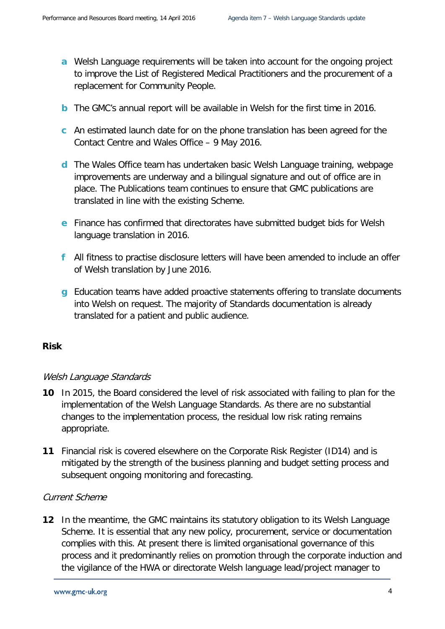- **a** Welsh Language requirements will be taken into account for the ongoing project to improve the List of Registered Medical Practitioners and the procurement of a replacement for Community People.
- **b** The GMC's annual report will be available in Welsh for the first time in 2016.
- **c** An estimated launch date for on the phone translation has been agreed for the Contact Centre and Wales Office – 9 May 2016.
- **d** The Wales Office team has undertaken basic Welsh Language training, webpage improvements are underway and a bilingual signature and out of office are in place. The Publications team continues to ensure that GMC publications are translated in line with the existing Scheme.
- **e** Finance has confirmed that directorates have submitted budget bids for Welsh language translation in 2016.
- **f** All fitness to practise disclosure letters will have been amended to include an offer of Welsh translation by June 2016.
- **g** Education teams have added proactive statements offering to translate documents into Welsh on request. The majority of Standards documentation is already translated for a patient and public audience.

#### **Risk**

#### Welsh Language Standards

- **10** In 2015, the Board considered the level of risk associated with failing to plan for the implementation of the Welsh Language Standards. As there are no substantial changes to the implementation process, the residual low risk rating remains appropriate.
- **11** Financial risk is covered elsewhere on the Corporate Risk Register (ID14) and is mitigated by the strength of the business planning and budget setting process and subsequent ongoing monitoring and forecasting.

#### Current Scheme

**12** In the meantime, the GMC maintains its statutory obligation to its Welsh Language Scheme. It is essential that any new policy, procurement, service or documentation complies with this. At present there is limited organisational governance of this process and it predominantly relies on promotion through the corporate induction and the vigilance of the HWA or directorate Welsh language lead/project manager to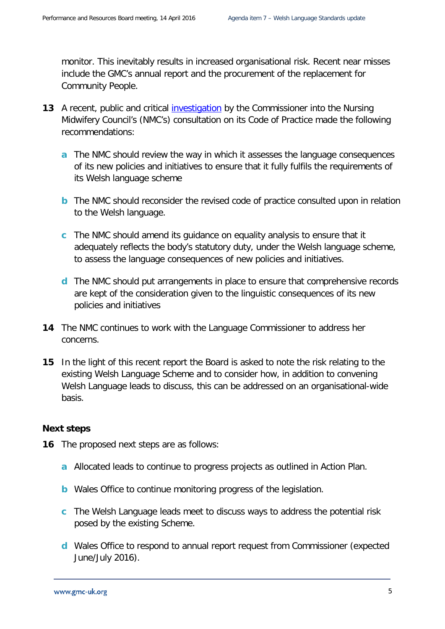monitor. This inevitably results in increased organisational risk. Recent near misses include the GMC's annual report and the procurement of the replacement for Community People.

- **13** A recent, public and critical [investigation](http://www.comisiynyddygymraeg.cymru/English/Publications%20List/20151001%20AD%20S%20Ymchwiliad%2037%20-%20Cyngor%20Nyrsio%20a%20Bydwreigiaeth%20(Terfynol).pdf) by the Commissioner into the Nursing Midwifery Council's (NMC's) consultation on its Code of Practice made the following recommendations:
	- **a** The NMC should review the way in which it assesses the language consequences of its new policies and initiatives to ensure that it fully fulfils the requirements of its Welsh language scheme
	- **b** The NMC should reconsider the revised code of practice consulted upon in relation to the Welsh language.
	- **c** The NMC should amend its guidance on equality analysis to ensure that it adequately reflects the body's statutory duty, under the Welsh language scheme, to assess the language consequences of new policies and initiatives.
	- **d** The NMC should put arrangements in place to ensure that comprehensive records are kept of the consideration given to the linguistic consequences of its new policies and initiatives
- **14** The NMC continues to work with the Language Commissioner to address her concerns.
- **15** In the light of this recent report the Board is asked to note the risk relating to the existing Welsh Language Scheme and to consider how, in addition to convening Welsh Language leads to discuss, this can be addressed on an organisational-wide basis.

#### **Next steps**

- **16** The proposed next steps are as follows:
	- **a** Allocated leads to continue to progress projects as outlined in Action Plan.
	- **b** Wales Office to continue monitoring progress of the legislation.
	- **c** The Welsh Language leads meet to discuss ways to address the potential risk posed by the existing Scheme.
	- **d** Wales Office to respond to annual report request from Commissioner (expected June/July 2016).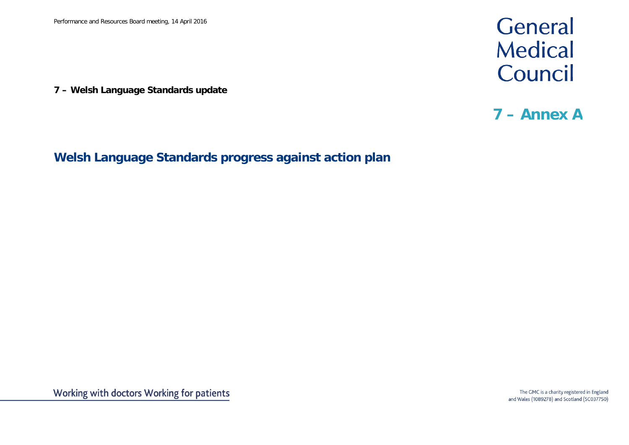**7 – Welsh Language Standards update**

## General Medical Council

### **7 – Annex A**

**Welsh Language Standards progress against action plan**

The GMC is a charity registered in England and Wales (1089278) and Scotland (SC037750)

Working with doctors Working for patients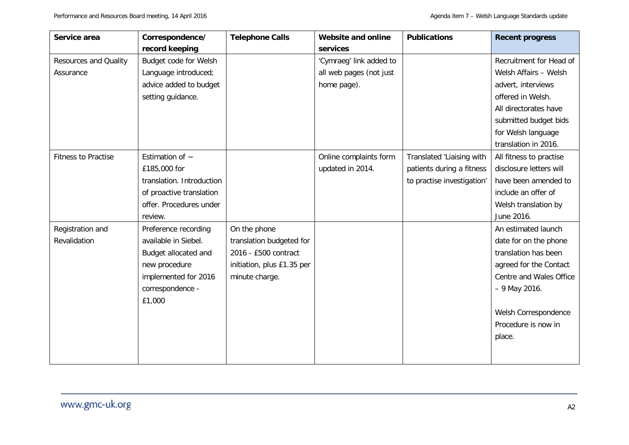| Service area                 | Correspondence/           | <b>Telephone Calls</b>     | Website and online      | <b>Publications</b>        | <b>Recent progress</b>  |
|------------------------------|---------------------------|----------------------------|-------------------------|----------------------------|-------------------------|
|                              | record keeping            |                            | services                |                            |                         |
| <b>Resources and Quality</b> | Budget code for Welsh     |                            | 'Cymraeg' link added to |                            | Recruitment for Head of |
| Assurance                    | Language introduced;      |                            | all web pages (not just |                            | Welsh Affairs - Welsh   |
|                              | advice added to budget    |                            | home page).             |                            | advert, interviews      |
|                              | setting guidance.         |                            |                         |                            | offered in Welsh.       |
|                              |                           |                            |                         |                            | All directorates have   |
|                              |                           |                            |                         |                            | submitted budget bids   |
|                              |                           |                            |                         |                            | for Welsh language      |
|                              |                           |                            |                         |                            | translation in 2016.    |
| <b>Fitness to Practise</b>   | Estimation of $\sim$      |                            | Online complaints form  | Translated 'Liaising with  | All fitness to practise |
|                              | £185,000 for              |                            | updated in 2014.        | patients during a fitness  | disclosure letters will |
|                              | translation. Introduction |                            |                         | to practise investigation' | have been amended to    |
|                              | of proactive translation  |                            |                         |                            | include an offer of     |
|                              | offer. Procedures under   |                            |                         |                            | Welsh translation by    |
|                              | review.                   |                            |                         |                            | June 2016.              |
| Registration and             | Preference recording      | On the phone               |                         |                            | An estimated launch     |
| Revalidation                 | available in Siebel.      | translation budgeted for   |                         |                            | date for on the phone   |
|                              | Budget allocated and      | 2016 - £500 contract       |                         |                            | translation has been    |
|                              | new procedure             | initiation, plus £1.35 per |                         |                            | agreed for the Contact  |
|                              | implemented for 2016      | minute charge.             |                         |                            | Centre and Wales Office |
|                              | correspondence -          |                            |                         |                            | - 9 May 2016.           |
|                              | £1,000                    |                            |                         |                            |                         |
|                              |                           |                            |                         |                            | Welsh Correspondence    |
|                              |                           |                            |                         |                            | Procedure is now in     |
|                              |                           |                            |                         |                            | place.                  |
|                              |                           |                            |                         |                            |                         |
|                              |                           |                            |                         |                            |                         |